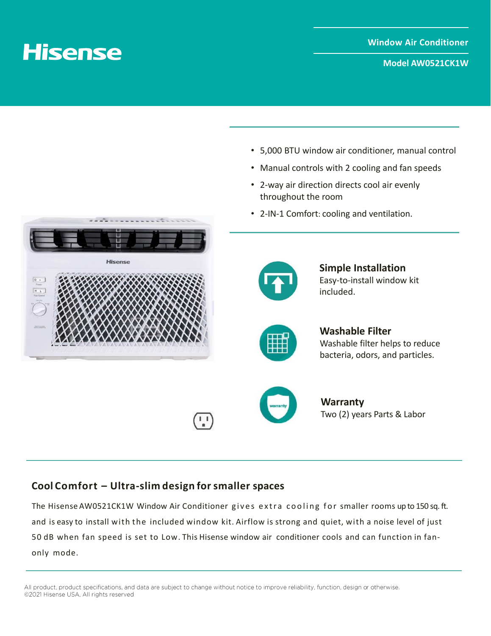# **Hisense**

**Model AW0521CK1W**

- 5,000 BTU window air conditioner, manual control
- Manual controls with 2 cooling and fan speeds
- 2-way air direction directs cool air evenly throughout the room
- 2-IN-1 Comfort: cooling and ventilation.





**Simple Installation** Easy-to-install window kit included.

**Washable Filter** Washable filter helps to reduce bacteria, odors, and particles.



**Warranty** Two (2) years Parts & Labor

## **Cool Comfort – Ultra-slim design for smaller spaces**

The Hisense AW0521CK1W Window Air Conditioner gives extra cooling for smaller rooms up to 150 sq. ft. and is easy to install with the included window kit. Airflow is strong and quiet, with a noise level of just 50 dB when fan speed is set to Low. This Hisense window air conditioner cools and can function in fanonly mode.

All product, product specifications, and data are subject to change without notice to improve reliability, function, design or otherwise. @2021 Hisense USA, All rights reserved